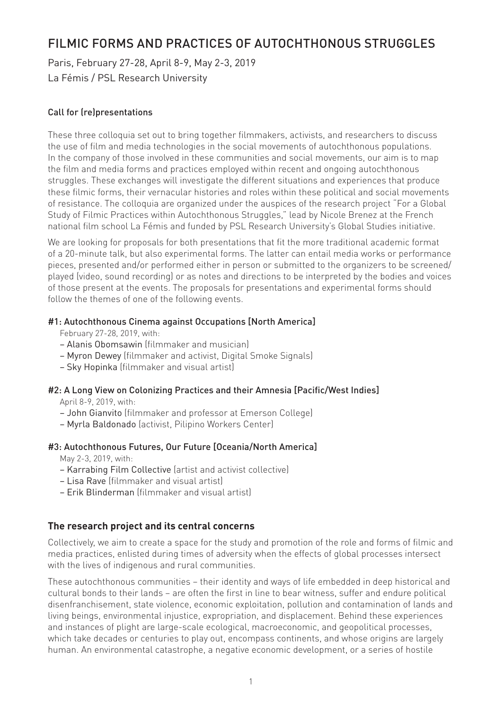# FILMIC FORMS AND PRACTICES OF AUTOCHTHONOUS STRUGGLES

Paris, February 27-28, April 8-9, May 2-3, 2019 La Fémis / PSL Research University

## Call for (re)presentations

These three colloquia set out to bring together filmmakers, activists, and researchers to discuss the use of film and media technologies in the social movements of autochthonous populations. In the company of those involved in these communities and social movements, our aim is to map the film and media forms and practices employed within recent and ongoing autochthonous struggles. These exchanges will investigate the different situations and experiences that produce these filmic forms, their vernacular histories and roles within these political and social movements of resistance. The colloquia are organized under the auspices of the research project "For a Global Study of Filmic Practices within Autochthonous Struggles," lead by Nicole Brenez at the French national film school La Fémis and funded by PSL Research University's Global Studies initiative.

We are looking for proposals for both presentations that fit the more traditional academic format of a 20-minute talk, but also experimental forms. The latter can entail media works or performance pieces, presented and/or performed either in person or submitted to the organizers to be screened/ played (video, sound recording) or as notes and directions to be interpreted by the bodies and voices of those present at the events. The proposals for presentations and experimental forms should follow the themes of one of the following events.

#### #1: Autochthonous Cinema against Occupations [North America]

February 27-28, 2019, with:

- Alanis Obomsawin (filmmaker and musician)
- Myron Dewey (filmmaker and activist, Digital Smoke Signals)
- Sky Hopinka (filmmaker and visual artist)

#### #2: A Long View on Colonizing Practices and their Amnesia [Pacific/West Indies]

April 8-9, 2019, with:

- John Gianvito (filmmaker and professor at Emerson College)
- Myrla Baldonado (activist, Pilipino Workers Center)

#### #3: Autochthonous Futures, Our Future [Oceania/North America]

May 2-3, 2019, with:

- Karrabing Film Collective (artist and activist collective)
- Lisa Rave (filmmaker and visual artist)
- Erik Blinderman (filmmaker and visual artist)

## **The research project and its central concerns**

Collectively, we aim to create a space for the study and promotion of the role and forms of filmic and media practices, enlisted during times of adversity when the effects of global processes intersect with the lives of indigenous and rural communities.

These autochthonous communities – their identity and ways of life embedded in deep historical and cultural bonds to their lands – are often the first in line to bear witness, suffer and endure political disenfranchisement, state violence, economic exploitation, pollution and contamination of lands and living beings, environmental injustice, expropriation, and displacement. Behind these experiences and instances of plight are large-scale ecological, macroeconomic, and geopolitical processes, which take decades or centuries to play out, encompass continents, and whose origins are largely human. An environmental catastrophe, a negative economic development, or a series of hostile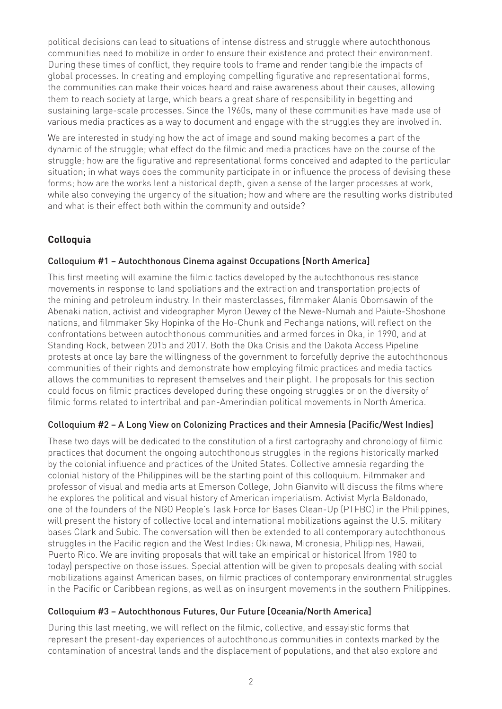political decisions can lead to situations of intense distress and struggle where autochthonous communities need to mobilize in order to ensure their existence and protect their environment. During these times of conflict, they require tools to frame and render tangible the impacts of global processes. In creating and employing compelling figurative and representational forms, the communities can make their voices heard and raise awareness about their causes, allowing them to reach society at large, which bears a great share of responsibility in begetting and sustaining large-scale processes. Since the 1960s, many of these communities have made use of various media practices as a way to document and engage with the struggles they are involved in.

We are interested in studying how the act of image and sound making becomes a part of the dynamic of the struggle; what effect do the filmic and media practices have on the course of the struggle; how are the figurative and representational forms conceived and adapted to the particular situation; in what ways does the community participate in or influence the process of devising these forms; how are the works lent a historical depth, given a sense of the larger processes at work, while also conveying the urgency of the situation; how and where are the resulting works distributed and what is their effect both within the community and outside?

## **Colloquia**

## Colloquium #1 – Autochthonous Cinema against Occupations [North America]

This first meeting will examine the filmic tactics developed by the autochthonous resistance movements in response to land spoliations and the extraction and transportation projects of the mining and petroleum industry. In their masterclasses, filmmaker Alanis Obomsawin of the Abenaki nation, activist and videographer Myron Dewey of the Newe-Numah and Paiute-Shoshone nations, and filmmaker Sky Hopinka of the Ho-Chunk and Pechanga nations, will reflect on the confrontations between autochthonous communities and armed forces in Oka, in 1990, and at Standing Rock, between 2015 and 2017. Both the Oka Crisis and the Dakota Access Pipeline protests at once lay bare the willingness of the government to forcefully deprive the autochthonous communities of their rights and demonstrate how employing filmic practices and media tactics allows the communities to represent themselves and their plight. The proposals for this section could focus on filmic practices developed during these ongoing struggles or on the diversity of filmic forms related to intertribal and pan-Amerindian political movements in North America.

## Colloquium #2 – A Long View on Colonizing Practices and their Amnesia [Pacific/West Indies]

These two days will be dedicated to the constitution of a first cartography and chronology of filmic practices that document the ongoing autochthonous struggles in the regions historically marked by the colonial influence and practices of the United States. Collective amnesia regarding the colonial history of the Philippines will be the starting point of this colloquium. Filmmaker and professor of visual and media arts at Emerson College, John Gianvito will discuss the films where he explores the political and visual history of American imperialism. Activist Myrla Baldonado, one of the founders of the NGO People's Task Force for Bases Clean-Up (PTFBC) in the Philippines, will present the history of collective local and international mobilizations against the U.S. military bases Clark and Subic. The conversation will then be extended to all contemporary autochthonous struggles in the Pacific region and the West Indies: Okinawa, Micronesia, Philippines, Hawaii, Puerto Rico. We are inviting proposals that will take an empirical or historical (from 1980 to today) perspective on those issues. Special attention will be given to proposals dealing with social mobilizations against American bases, on filmic practices of contemporary environmental struggles in the Pacific or Caribbean regions, as well as on insurgent movements in the southern Philippines.

#### Colloquium #3 – Autochthonous Futures, Our Future [Oceania/North America]

During this last meeting, we will reflect on the filmic, collective, and essayistic forms that represent the present-day experiences of autochthonous communities in contexts marked by the contamination of ancestral lands and the displacement of populations, and that also explore and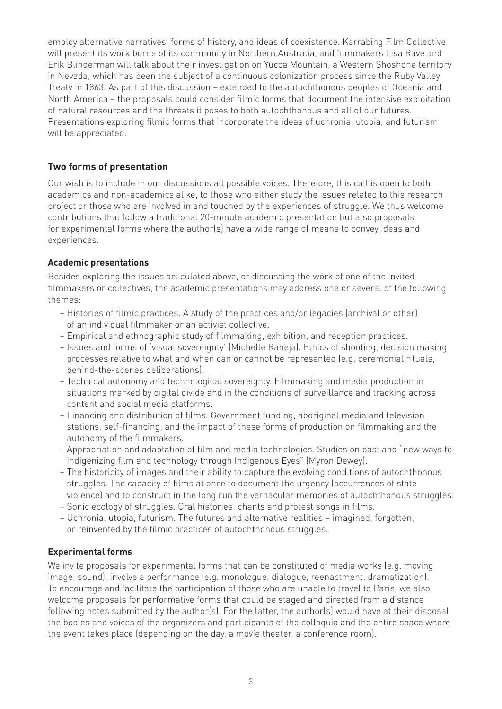employ alternative narratives, forms of history, and ideas of coexistence. Karrabing Film Collective will present its work borne of its community in Northern Australia, and filmmakers Lisa Rave and Erik Blinderman will talk about their investigation on Yucca Mountain, a Western Shoshone territory in Nevada, which has been the subject of a continuous colonization process since the Ruby Valley Treaty in 1863. As part of this discussion – extended to the autochthonous peoples of Oceania and North America – the proposals could consider filmic forms that document the intensive exploitation of natural resources and the threats it poses to both autochthonous and all of our futures. Presentations exploring filmic forms that incorporate the ideas of uchronia, utopia, and futurism will be appreciated.

## **Two forms of presentation**

Our wish is to include in our discussions all possible voices. Therefore, this call is open to both academics and non-academics alike, to those who either study the issues related to this research project or those who are involved in and touched by the experiences of struggle. We thus welcome contributions that follow a traditional 20-minute academic presentation but also proposals for experimental forms where the author(s) have a wide range of means to convey ideas and experiences.

## **Academic presentations**

Besides exploring the issues articulated above, or discussing the work of one of the invited filmmakers or collectives, the academic presentations may address one or several of the following themes:

- Histories of filmic practices. A study of the practices and/or legacies (archival or other) of an individual filmmaker or an activist collective.
- Empirical and ethnographic study of filmmaking, exhibition, and reception practices.
- Issues and forms of 'visual sovereignty' (Michelle Raheja). Ethics of shooting, decision making processes relative to what and when can or cannot be represented (e.g. ceremonial rituals, behind-the-scenes deliberations).
- Technical autonomy and technological sovereignty. Filmmaking and media production in situations marked by digital divide and in the conditions of surveillance and tracking across content and social media platforms.
- Financing and distribution of films. Government funding, aboriginal media and television stations, self-financing, and the impact of these forms of production on filmmaking and the autonomy of the filmmakers.
- Appropriation and adaptation of film and media technologies. Studies on past and "new ways to indigenizing film and technology through Indigenous Eyes" (Myron Dewey).
- The historicity of images and their ability to capture the evolving conditions of autochthonous struggles. The capacity of films at once to document the urgency (occurrences of state violence) and to construct in the long run the vernacular memories of autochthonous struggles.
- Sonic ecology of struggles. Oral histories, chants and protest songs in films.
- Uchronia, utopia, futurism. The futures and alternative realities imagined, forgotten, or reinvented by the filmic practices of autochthonous struggles.

#### **Experimental forms**

We invite proposals for experimental forms that can be constituted of media works (e.g. moving image, sound), involve a performance (e.g. monologue, dialogue, reenactment, dramatization). To encourage and facilitate the participation of those who are unable to travel to Paris, we also welcome proposals for performative forms that could be staged and directed from a distance following notes submitted by the author(s). For the latter, the author(s) would have at their disposal the bodies and voices of the organizers and participants of the colloquia and the entire space where the event takes place (depending on the day, a movie theater, a conference room).